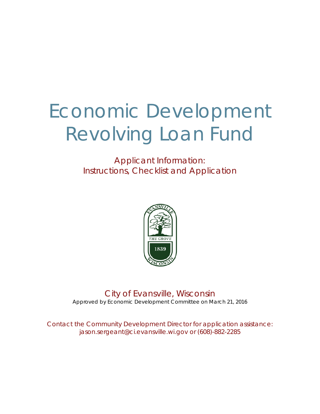# Economic Development Revolving Loan Fund

Applicant Information: Instructions, Checklist and Application



City of Evansville, Wisconsin Approved by Economic Development Committee on March 21, 2016

*Contact the Community Development Director for application assistance: jason.sergeant@ci.evansville.wi.gov or (608)-882-2285*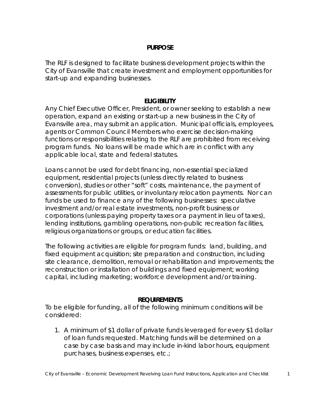#### **PURPOSE**

The RLF is designed to facilitate business development projects within the City of Evansville that create investment and employment opportunities for start-up and expanding businesses.

## **ELIGIBILITY**

Any Chief Executive Officer, President, or owner seeking to establish a new operation, expand an existing or start-up a new business in the City of Evansville area, may submit an application. Municipal officials, employees, agents or Common Council Members who exercise decision-making functions or responsibilities relating to the RLF are prohibited from receiving program funds. No loans will be made which are in conflict with any applicable local, state and federal statutes.

Loans *cannot* be used for debt financing, non-essential specialized equipment, residential projects (unless directly related to business conversion), studies or other "soft" costs, maintenance, the payment of assessments for public utilities, or involuntary relocation payments. Nor can funds be used to finance any of the following businesses: speculative investment and/or real estate investments, non-profit business or corporations (unless paying property taxes or a payment in lieu of taxes), lending institutions, gambling operations, non-public recreation facilities, religious organizations or groups, or education facilities.

The following activities are eligible for program funds: land, building, and fixed equipment acquisition; site preparation and construction, including site clearance, demolition, removal or rehabilitation and improvements; the reconstruction or installation of buildings and fixed equipment; working capital, including marketing; workforce development and/or training.

## **REQUIREMENTS**

To be eligible for funding, all of the following minimum conditions will be considered:

1. A minimum of \$1 dollar of private funds leveraged for every \$1 dollar of loan funds requested. Matching funds will be determined on a case by case basis and may include in-kind labor hours, equipment purchases, business expenses, etc.;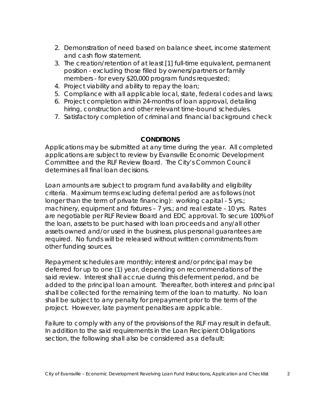- 2. Demonstration of need based on balance sheet, income statement and cash flow statement.
- 3. The creation/retention of at least [1] full-time equivalent, permanent position - excluding those filled by owners/partners or family members - for every \$20,000 program funds requested;
- 4. Project viability and ability to repay the loan;
- 5. Compliance with all applicable local, state, federal codes and laws;
- 6. Project completion within 24-months of loan approval, detailing hiring, construction and other relevant time-bound schedules.
- 7. Satisfactory completion of criminal and financial background check

## **CONDITIONS**

Applications may be submitted at any time during the year. All completed applications are subject to review by Evansville Economic Development Committee and the RLF Review Board. The City's Common Council determines all final loan decisions.

Loan amounts are subject to program fund availability and eligibility criteria. Maximum terms excluding deferral period are as follows (not longer than the term of private financing): working capital - 5 yrs.; machinery, equipment and fixtures – 7 yrs.; and real estate - 10 yrs. Rates are negotiable per RLF Review Board and EDC approval. To secure 100% of the loan, assets to be purchased with loan proceeds and any/all other assets owned and/or used in the business, plus personal guarantees are required. No funds will be released without *written* commitments from other funding sources.

Repayment schedules are monthly; interest and/or principal may be deferred for up to one (1) year, depending on recommendations of the said review. Interest shall accrue during this deferment period, and be added to the principal loan amount. Thereafter, both interest and principal shall be collected for the remaining term of the loan to maturity. No loan shall be subject to any penalty for prepayment prior to the term of the project. However, late payment penalties are applicable.

Failure to comply with any of the provisions of the RLF may result in default. In addition to the said requirements in the Loan Recipient Obligations section, the following shall also be considered as a default: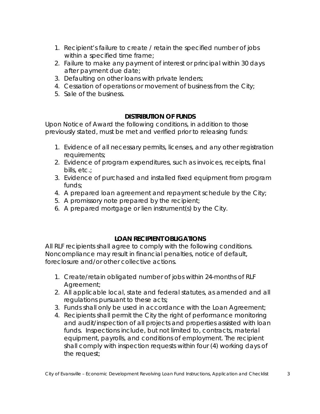- 1. Recipient's failure to create / retain the specified number of jobs within a specified time frame;
- 2. Failure to make any payment of interest or principal within 30 days after payment due date;
- 3. Defaulting on other loans with private lenders;
- 4. Cessation of operations or movement of business from the City;
- 5. Sale of the business.

# **DISTRIBUTION OF FUNDS**

Upon Notice of Award the following conditions, in addition to those previously stated, must be met and verified prior to releasing funds:

- 1. Evidence of all necessary permits, licenses, and any other registration requirements;
- 2. Evidence of program expenditures, such as invoices, receipts, final bills, etc.;
- 3. Evidence of purchased and installed fixed equipment from program funds;
- 4. A prepared loan agreement and repayment schedule by the City;
- 5. A promissory note prepared by the recipient;
- 6. A prepared mortgage or lien instrument(s) by the City.

# **LOAN RECIPIENT OBLIGATIONS**

All RLF recipients shall agree to comply with the following conditions. Noncompliance may result in financial penalties, notice of default, foreclosure and/or other collective actions.

- 1. Create/retain obligated number of jobs within 24-months of RLF Agreement;
- 2. All applicable local, state and federal statutes, as amended and all regulations pursuant to these acts;
- 3. Funds shall only be used in accordance with the Loan Agreement;
- 4. Recipients shall permit the City the right of performance monitoring and audit/inspection of all projects and properties assisted with loan funds. Inspections include, but not limited to, contracts, material equipment, payrolls, and conditions of employment. The recipient shall comply with inspection requests within four (4) working days of the request;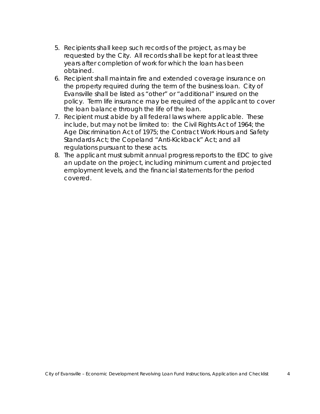- 5. Recipients shall keep such records of the project, as may be requested by the City. All records shall be kept for at least three years after completion of work for which the loan has been obtained.
- 6. Recipient shall maintain fire and extended coverage insurance on the property required during the term of the business loan. City of Evansville shall be listed as "other" or "additional" insured on the policy. Term life insurance may be required of the applicant to cover the loan balance through the life of the loan.
- 7. Recipient must abide by all federal laws where applicable. These include, but may not be limited to: the Civil Rights Act of 1964; the Age Discrimination Act of 1975; the Contract Work Hours and Safety Standards Act; the Copeland "Anti-Kickback" Act; and all regulations pursuant to these acts.
- 8. The applicant must submit annual progress reports to the EDC to give an update on the project, including minimum current and projected employment levels, and the financial statements for the period covered.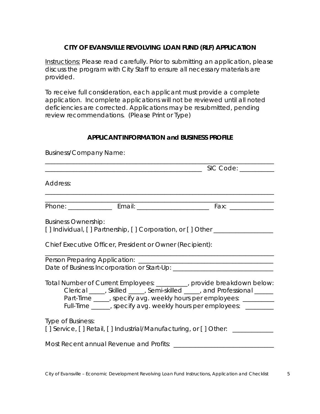## **CITY OF EVANSVILLE REVOLVING LOAN FUND (RLF) APPLICATION**

Instructions: Please read carefully. Prior to submitting an application, please discuss the program with City Staff to ensure all necessary materials are provided.

To receive full consideration, each applicant must provide a complete application. Incomplete applications will not be reviewed until all noted deficiencies are corrected. Applications may be resubmitted, pending review recommendations. (Please Print or Type)

#### **APPLICANT INFORMATION and BUSINESS PROFILE**

| <b>Business/Company Name:</b> |                                                          |                                                                                                                                                                                                                                                                                                  |  |  |
|-------------------------------|----------------------------------------------------------|--------------------------------------------------------------------------------------------------------------------------------------------------------------------------------------------------------------------------------------------------------------------------------------------------|--|--|
|                               |                                                          |                                                                                                                                                                                                                                                                                                  |  |  |
| Address:                      |                                                          |                                                                                                                                                                                                                                                                                                  |  |  |
|                               |                                                          |                                                                                                                                                                                                                                                                                                  |  |  |
| <b>Business Ownership:</b>    | Chief Executive Officer, President or Owner (Recipient): | [] Individual, [] Partnership, [] Corporation, or [] Other ____________________                                                                                                                                                                                                                  |  |  |
|                               |                                                          |                                                                                                                                                                                                                                                                                                  |  |  |
|                               |                                                          | Total Number of Current Employees: _________, provide breakdown below:<br>Clerical _____, Skilled _____, Semi-skilled _____, and Professional ______<br>Part-Time ____, specify avg. weekly hours per employees: _________<br>Full-Time _____, specify avg. weekly hours per employees: ________ |  |  |
| Type of Business:             |                                                          | [] Service, [] Retail, [] Industrial/Manufacturing, or [] Other: _____________                                                                                                                                                                                                                   |  |  |
|                               | Most Recent annual Revenue and Profits:                  |                                                                                                                                                                                                                                                                                                  |  |  |

*City of Evansville – Economic Development Revolving Loan Fund Instructions, Application and Checklist 5*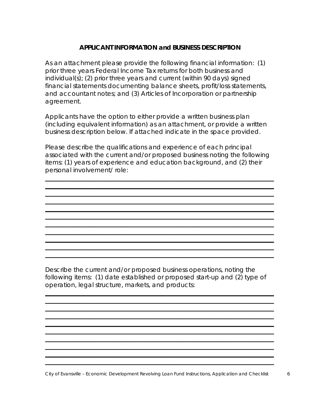#### **APPLICANT INFORMATION and BUSINESS DESCRIPTION**

As an attachment please provide the following financial information: (1) prior three years Federal Income Tax returns for both business and individual(s); (2) prior three years and current (within 90 days) signed financial statements documenting balance sheets, profit/loss statements, and accountant notes; and (3) Articles of Incorporation or partnership agreement.

Applicants have the option to either provide a written business plan (including equivalent information) as an attachment, or provide a written business description below. If attached indicate in the space provided.

Please describe the qualifications and experience of each principal associated with the current and/or proposed business noting the following items: (1) years of experience and education background, and (2) their personal involvement/ role:

\_\_\_\_\_\_\_\_\_\_\_\_\_\_\_\_\_\_\_\_\_\_\_\_\_\_\_\_\_\_\_\_\_\_\_\_\_\_\_\_\_\_\_\_\_\_\_\_\_\_\_\_\_\_\_\_\_\_\_\_\_\_\_\_\_\_\_\_\_\_\_\_\_ \_\_\_\_\_\_\_\_\_\_\_\_\_\_\_\_\_\_\_\_\_\_\_\_\_\_\_\_\_\_\_\_\_\_\_\_\_\_\_\_\_\_\_\_\_\_\_\_\_\_\_\_\_\_\_\_\_\_\_\_\_\_\_\_\_\_\_\_\_\_\_\_\_ \_\_\_\_\_\_\_\_\_\_\_\_\_\_\_\_\_\_\_\_\_\_\_\_\_\_\_\_\_\_\_\_\_\_\_\_\_\_\_\_\_\_\_\_\_\_\_\_\_\_\_\_\_\_\_\_\_\_\_\_\_\_\_\_\_\_\_\_\_\_\_\_\_ \_\_\_\_\_\_\_\_\_\_\_\_\_\_\_\_\_\_\_\_\_\_\_\_\_\_\_\_\_\_\_\_\_\_\_\_\_\_\_\_\_\_\_\_\_\_\_\_\_\_\_\_\_\_\_\_\_\_\_\_\_\_\_\_\_\_\_\_\_\_\_\_\_ \_\_\_\_\_\_\_\_\_\_\_\_\_\_\_\_\_\_\_\_\_\_\_\_\_\_\_\_\_\_\_\_\_\_\_\_\_\_\_\_\_\_\_\_\_\_\_\_\_\_\_\_\_\_\_\_\_\_\_\_\_\_\_\_\_\_\_\_\_\_\_\_\_ \_\_\_\_\_\_\_\_\_\_\_\_\_\_\_\_\_\_\_\_\_\_\_\_\_\_\_\_\_\_\_\_\_\_\_\_\_\_\_\_\_\_\_\_\_\_\_\_\_\_\_\_\_\_\_\_\_\_\_\_\_\_\_\_\_\_\_\_\_\_\_\_\_ \_\_\_\_\_\_\_\_\_\_\_\_\_\_\_\_\_\_\_\_\_\_\_\_\_\_\_\_\_\_\_\_\_\_\_\_\_\_\_\_\_\_\_\_\_\_\_\_\_\_\_\_\_\_\_\_\_\_\_\_\_\_\_\_\_\_\_\_\_\_\_\_\_ \_\_\_\_\_\_\_\_\_\_\_\_\_\_\_\_\_\_\_\_\_\_\_\_\_\_\_\_\_\_\_\_\_\_\_\_\_\_\_\_\_\_\_\_\_\_\_\_\_\_\_\_\_\_\_\_\_\_\_\_\_\_\_\_\_\_\_\_\_\_\_\_\_ \_\_\_\_\_\_\_\_\_\_\_\_\_\_\_\_\_\_\_\_\_\_\_\_\_\_\_\_\_\_\_\_\_\_\_\_\_\_\_\_\_\_\_\_\_\_\_\_\_\_\_\_\_\_\_\_\_\_\_\_\_\_\_\_\_\_\_\_\_\_\_\_\_ \_\_\_\_\_\_\_\_\_\_\_\_\_\_\_\_\_\_\_\_\_\_\_\_\_\_\_\_\_\_\_\_\_\_\_\_\_\_\_\_\_\_\_\_\_\_\_\_\_\_\_\_\_\_\_\_\_\_\_\_\_\_\_\_\_\_\_\_\_\_\_\_\_ \_\_\_\_\_\_\_\_\_\_\_\_\_\_\_\_\_\_\_\_\_\_\_\_\_\_\_\_\_\_\_\_\_\_\_\_\_\_\_\_\_\_\_\_\_\_\_\_\_\_\_\_\_\_\_\_\_\_\_\_\_\_\_\_\_\_\_\_\_\_\_\_\_

Describe the current and/or proposed business operations, noting the following items: (1) date established or proposed start-up and (2) type of operation, legal structure, markets, and products:

\_\_\_\_\_\_\_\_\_\_\_\_\_\_\_\_\_\_\_\_\_\_\_\_\_\_\_\_\_\_\_\_\_\_\_\_\_\_\_\_\_\_\_\_\_\_\_\_\_\_\_\_\_\_\_\_\_\_\_\_\_\_\_\_\_\_\_\_\_\_\_\_\_ \_\_\_\_\_\_\_\_\_\_\_\_\_\_\_\_\_\_\_\_\_\_\_\_\_\_\_\_\_\_\_\_\_\_\_\_\_\_\_\_\_\_\_\_\_\_\_\_\_\_\_\_\_\_\_\_\_\_\_\_\_\_\_\_\_\_\_\_\_\_\_\_\_ \_\_\_\_\_\_\_\_\_\_\_\_\_\_\_\_\_\_\_\_\_\_\_\_\_\_\_\_\_\_\_\_\_\_\_\_\_\_\_\_\_\_\_\_\_\_\_\_\_\_\_\_\_\_\_\_\_\_\_\_\_\_\_\_\_\_\_\_\_\_\_\_\_ \_\_\_\_\_\_\_\_\_\_\_\_\_\_\_\_\_\_\_\_\_\_\_\_\_\_\_\_\_\_\_\_\_\_\_\_\_\_\_\_\_\_\_\_\_\_\_\_\_\_\_\_\_\_\_\_\_\_\_\_\_\_\_\_\_\_\_\_\_\_\_\_\_ \_\_\_\_\_\_\_\_\_\_\_\_\_\_\_\_\_\_\_\_\_\_\_\_\_\_\_\_\_\_\_\_\_\_\_\_\_\_\_\_\_\_\_\_\_\_\_\_\_\_\_\_\_\_\_\_\_\_\_\_\_\_\_\_\_\_\_\_\_\_\_\_\_ \_\_\_\_\_\_\_\_\_\_\_\_\_\_\_\_\_\_\_\_\_\_\_\_\_\_\_\_\_\_\_\_\_\_\_\_\_\_\_\_\_\_\_\_\_\_\_\_\_\_\_\_\_\_\_\_\_\_\_\_\_\_\_\_\_\_\_\_\_\_\_\_\_ \_\_\_\_\_\_\_\_\_\_\_\_\_\_\_\_\_\_\_\_\_\_\_\_\_\_\_\_\_\_\_\_\_\_\_\_\_\_\_\_\_\_\_\_\_\_\_\_\_\_\_\_\_\_\_\_\_\_\_\_\_\_\_\_\_\_\_\_\_\_\_\_\_ \_\_\_\_\_\_\_\_\_\_\_\_\_\_\_\_\_\_\_\_\_\_\_\_\_\_\_\_\_\_\_\_\_\_\_\_\_\_\_\_\_\_\_\_\_\_\_\_\_\_\_\_\_\_\_\_\_\_\_\_\_\_\_\_\_\_\_\_\_\_\_\_\_ \_\_\_\_\_\_\_\_\_\_\_\_\_\_\_\_\_\_\_\_\_\_\_\_\_\_\_\_\_\_\_\_\_\_\_\_\_\_\_\_\_\_\_\_\_\_\_\_\_\_\_\_\_\_\_\_\_\_\_\_\_\_\_\_\_\_\_\_\_\_\_\_\_ \_\_\_\_\_\_\_\_\_\_\_\_\_\_\_\_\_\_\_\_\_\_\_\_\_\_\_\_\_\_\_\_\_\_\_\_\_\_\_\_\_\_\_\_\_\_\_\_\_\_\_\_\_\_\_\_\_\_\_\_\_\_\_\_\_\_\_\_\_\_\_\_\_

*City of Evansville – Economic Development Revolving Loan Fund Instructions, Application and Checklist 6*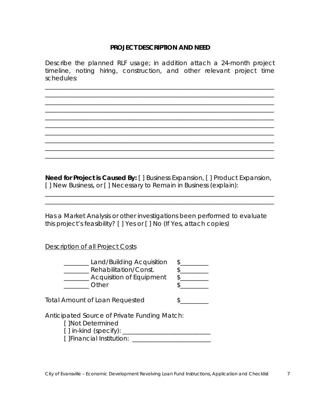## **PROJECT DESCRIPTION AND NEED**

Describe the planned RLF usage; in addition attach a 24-month project timeline, noting hiring, construction, and other relevant project time schedules:

\_\_\_\_\_\_\_\_\_\_\_\_\_\_\_\_\_\_\_\_\_\_\_\_\_\_\_\_\_\_\_\_\_\_\_\_\_\_\_\_\_\_\_\_\_\_\_\_\_\_\_\_\_\_\_\_\_\_\_\_\_\_\_\_\_\_\_\_\_\_\_\_\_ \_\_\_\_\_\_\_\_\_\_\_\_\_\_\_\_\_\_\_\_\_\_\_\_\_\_\_\_\_\_\_\_\_\_\_\_\_\_\_\_\_\_\_\_\_\_\_\_\_\_\_\_\_\_\_\_\_\_\_\_\_\_\_\_\_\_\_\_\_\_\_\_\_ \_\_\_\_\_\_\_\_\_\_\_\_\_\_\_\_\_\_\_\_\_\_\_\_\_\_\_\_\_\_\_\_\_\_\_\_\_\_\_\_\_\_\_\_\_\_\_\_\_\_\_\_\_\_\_\_\_\_\_\_\_\_\_\_\_\_\_\_\_\_\_\_\_ \_\_\_\_\_\_\_\_\_\_\_\_\_\_\_\_\_\_\_\_\_\_\_\_\_\_\_\_\_\_\_\_\_\_\_\_\_\_\_\_\_\_\_\_\_\_\_\_\_\_\_\_\_\_\_\_\_\_\_\_\_\_\_\_\_\_\_\_\_\_\_\_\_ \_\_\_\_\_\_\_\_\_\_\_\_\_\_\_\_\_\_\_\_\_\_\_\_\_\_\_\_\_\_\_\_\_\_\_\_\_\_\_\_\_\_\_\_\_\_\_\_\_\_\_\_\_\_\_\_\_\_\_\_\_\_\_\_\_\_\_\_\_\_\_\_\_ \_\_\_\_\_\_\_\_\_\_\_\_\_\_\_\_\_\_\_\_\_\_\_\_\_\_\_\_\_\_\_\_\_\_\_\_\_\_\_\_\_\_\_\_\_\_\_\_\_\_\_\_\_\_\_\_\_\_\_\_\_\_\_\_\_\_\_\_\_\_\_\_\_

**Need for Project is Caused By:** [ ] Business Expansion, [ ] Product Expansion, [ ] New Business, or [ ] Necessary to Remain in Business (explain):

\_\_\_\_\_\_\_\_\_\_\_\_\_\_\_\_\_\_\_\_\_\_\_\_\_\_\_\_\_\_\_\_\_\_\_\_\_\_\_\_\_\_\_\_\_\_\_\_\_\_\_\_\_\_\_\_\_\_\_\_\_\_\_\_\_\_\_\_\_\_\_\_\_ \_\_\_\_\_\_\_\_\_\_\_\_\_\_\_\_\_\_\_\_\_\_\_\_\_\_\_\_\_\_\_\_\_\_\_\_\_\_\_\_\_\_\_\_\_\_\_\_\_\_\_\_\_\_\_\_\_\_\_\_\_\_\_\_\_\_\_\_\_\_\_\_\_

\_\_\_\_\_\_\_\_\_\_\_\_\_\_\_\_\_\_\_\_\_\_\_\_\_\_\_\_\_\_\_\_\_\_\_\_\_\_\_\_\_\_\_\_\_\_\_\_\_\_\_\_\_\_\_\_\_\_\_\_\_\_\_\_\_\_\_\_\_\_\_\_\_ \_\_\_\_\_\_\_\_\_\_\_\_\_\_\_\_\_\_\_\_\_\_\_\_\_\_\_\_\_\_\_\_\_\_\_\_\_\_\_\_\_\_\_\_\_\_\_\_\_\_\_\_\_\_\_\_\_\_\_\_\_\_\_\_\_\_\_\_\_\_\_\_\_ \_\_\_\_\_\_\_\_\_\_\_\_\_\_\_\_\_\_\_\_\_\_\_\_\_\_\_\_\_\_\_\_\_\_\_\_\_\_\_\_\_\_\_\_\_\_\_\_\_\_\_\_\_\_\_\_\_\_\_\_\_\_\_\_\_\_\_\_\_\_\_\_\_

Has a Market Analysis or other investigations been performed to evaluate this project's feasibility? [ ] Yes or [ ] No (If Yes, attach copies)

Description of all Project Costs

| Land/Building Acquisition       |  |
|---------------------------------|--|
| Rehabilitation/Const.           |  |
| <b>Acquisition of Equipment</b> |  |
| Other                           |  |

Total Amount of Loan Requested  $\qquad \qquad \$ 

Anticipated Source of Private Funding Match:

[ ]Not Determined

[ ] in-kind (specify): \_\_\_\_\_\_\_\_\_\_\_\_\_\_\_\_\_\_\_\_\_\_\_\_\_\_\_\_ [ ]Financial Institution: \_\_\_\_\_\_\_\_\_\_\_\_\_\_\_\_\_\_\_\_\_\_\_\_\_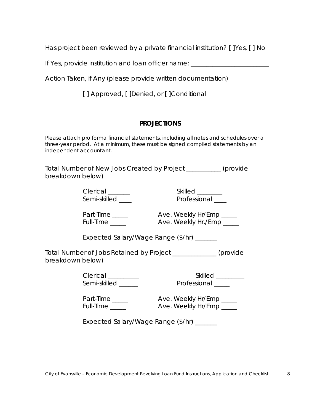Has project been reviewed by a private financial institution? [ ]Yes, [ ] No

If Yes, provide institution and loan officer name:

Action Taken, if Any (please provide written documentation)

[] Approved, [] Denied, or [] Conditional

#### **PROJECTIONS**

Please attach pro forma financial statements, including all notes and schedules over a three-year period. At a minimum, these must be signed compiled statements by an independent accountant.

Total Number of New Jobs Created by Project \_\_\_\_\_\_\_\_\_\_\_ (provide breakdown below)

> Clerical \_\_\_\_\_\_\_ Skilled \_\_\_\_\_\_\_\_ Semi-skilled \_\_\_\_ Professional \_\_\_

Part-Time \_\_\_\_\_ Ave. Weekly Hr/Emp \_\_\_\_\_ Full-Time \_\_\_\_\_\_ Ave. Weekly Hr./Emp \_\_\_\_\_

Expected Salary/Wage Range (\$/hr) \_\_\_\_\_\_\_

Total Number of Jobs Retained by Project \_\_\_\_\_\_\_\_\_\_\_\_\_\_ (provide breakdown below)

Clerical \_\_\_\_\_\_\_\_\_\_ Skilled \_\_\_\_\_\_\_\_\_ Professional \_\_\_\_\_

Part-Time \_\_\_\_\_ Ave. Weekly Hr/Emp \_\_\_\_\_ Full-Time \_\_\_\_\_\_ Ave. Weekly Hr/Emp \_\_\_\_\_

Expected Salary/Wage Range (\$/hr) \_\_\_\_\_\_\_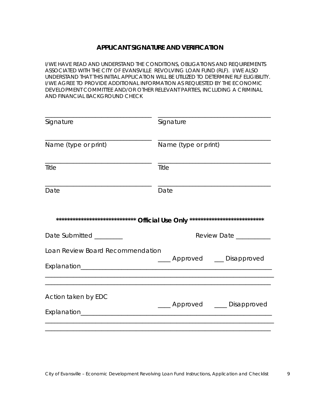#### **APPLICANT SIGNATURE AND VERIFICATION**

I/WE HAVE READ AND UNDERSTAND THE CONDITIONS, OBLIGATIONS AND REQUIREMENTS ASSOCIATED WITH THE CITY OF EVANSVILLE REVOLVING LOAN FUND (RLF). I/WE ALSO UNDERSTAND THAT THIS INITIAL APPLICATION WILL BE UTILIZED TO DETERMINE RLF ELIGIBILITY. I/WE AGREE TO PROVIDE ADDITIONAL INFORMATION AS REQUESTED BY THE ECONOMIC DEVELOPMENT COMMITTEE AND/OR OTHER RELEVANT PARTIES, INCLUDING A CRIMINAL AND FINANCIAL BACKGROUND CHECK

| Signature                        | Signature                      |
|----------------------------------|--------------------------------|
| Name (type or print)             | Name (type or print)           |
| Title                            | Title                          |
| Date                             | Date                           |
|                                  |                                |
| Date Submitted ________          | Review Date ________           |
| Loan Review Board Recommendation | ____ Approved ___ Disapproved  |
| Action taken by EDC              | ____ Approved ____ Disapproved |